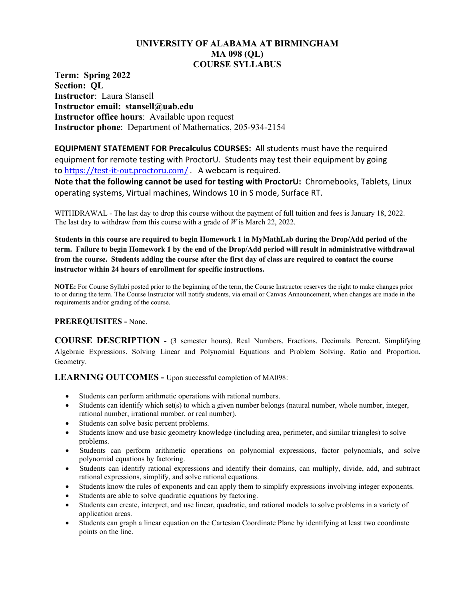# **UNIVERSITY OF ALABAMA AT BIRMINGHAM MA 098 (QL) COURSE SYLLABUS**

**Term: Spring 2022 Section: QL Instructor**: Laura Stansell **Instructor email: stansell@uab.edu Instructor office hours**: Available upon request **Instructor phone**: Department of Mathematics, 205-934-2154

**EQUIPMENT STATEMENT FOR Precalculus COURSES:** All students must have the required equipment for remote testing with ProctorU. Students may test their equipment by going to <https://test-it-out.proctoru.com/> . A webcam is required.

**Note that the following cannot be used for testing with ProctorU:** Chromebooks, Tablets, Linux operating systems, Virtual machines, Windows 10 in S mode, Surface RT.

WITHDRAWAL - The last day to drop this course without the payment of full tuition and fees is January 18, 2022. The last day to withdraw from this course with a grade of *W* is March 22, 2022.

**Students in this course are required to begin Homework 1 in MyMathLab during the Drop/Add period of the term. Failure to begin Homework 1 by the end of the Drop/Add period will result in administrative withdrawal from the course. Students adding the course after the first day of class are required to contact the course instructor within 24 hours of enrollment for specific instructions.**

**NOTE:** For Course Syllabi posted prior to the beginning of the term, the Course Instructor reserves the right to make changes prior to or during the term. The Course Instructor will notify students, via email or Canvas Announcement, when changes are made in the requirements and/or grading of the course.

## **PREREQUISITES -** None.

**COURSE DESCRIPTION -** (3 semester hours). Real Numbers. Fractions. Decimals. Percent. Simplifying Algebraic Expressions. Solving Linear and Polynomial Equations and Problem Solving. Ratio and Proportion. Geometry.

**LEARNING OUTCOMES -** Upon successful completion of MA098:

- Students can perform arithmetic operations with rational numbers.
- Students can identify which set(s) to which a given number belongs (natural number, whole number, integer, rational number, irrational number, or real number).
- Students can solve basic percent problems.
- Students know and use basic geometry knowledge (including area, perimeter, and similar triangles) to solve problems.
- Students can perform arithmetic operations on polynomial expressions, factor polynomials, and solve polynomial equations by factoring.
- Students can identify rational expressions and identify their domains, can multiply, divide, add, and subtract rational expressions, simplify, and solve rational equations.
- Students know the rules of exponents and can apply them to simplify expressions involving integer exponents.
- Students are able to solve quadratic equations by factoring.
- Students can create, interpret, and use linear, quadratic, and rational models to solve problems in a variety of application areas.
- Students can graph a linear equation on the Cartesian Coordinate Plane by identifying at least two coordinate points on the line.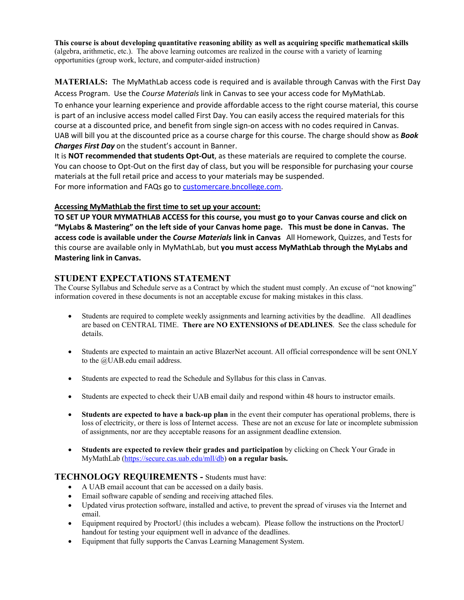**This course is about developing quantitative reasoning ability as well as acquiring specific mathematical skills** (algebra, arithmetic, etc.). The above learning outcomes are realized in the course with a variety of learning opportunities (group work, lecture, and computer-aided instruction)

**MATERIALS:** The MyMathLab access code is required and is available through Canvas with the First Day Access Program. Use the *Course Materials* link in Canvas to see your access code for MyMathLab.

To enhance your learning experience and provide affordable access to the right course material, this course is part of an inclusive access model called First Day. You can easily access the required materials for this course at a discounted price, and benefit from single sign-on access with no codes required in Canvas. UAB will bill you at the discounted price as a course charge for this course. The charge should show as *Book Charges First Day* on the student's account in Banner.

It is **NOT recommended that students Opt-Out**, as these materials are required to complete the course. You can choose to Opt-Out on the first day of class, but you will be responsible for purchasing your course materials at the full retail price and access to your materials may be suspended. For more information and FAQs go to [customercare.bncollege.com.](https://customercare.bncollege.com/hc/en-us)

### **Accessing MyMathLab the first time to set up your account:**

**TO SET UP YOUR MYMATHLAB ACCESS for this course, you must go to your Canvas course and click on "MyLabs & Mastering" on the left side of your Canvas home page. This must be done in Canvas. The access code is available under the** *Course Materials* **link in Canvas** All Homework, Quizzes, and Tests for this course are available only in MyMathLab, but **you must access MyMathLab through the MyLabs and Mastering link in Canvas.**

## **STUDENT EXPECTATIONS STATEMENT**

The Course Syllabus and Schedule serve as a Contract by which the student must comply. An excuse of "not knowing" information covered in these documents is not an acceptable excuse for making mistakes in this class.

- Students are required to complete weekly assignments and learning activities by the deadline. All deadlines are based on CENTRAL TIME. **There are NO EXTENSIONS of DEADLINES**. See the class schedule for details.
- Students are expected to maintain an active BlazerNet account. All official correspondence will be sent ONLY to the @UAB.edu email address.
- Students are expected to read the Schedule and Syllabus for this class in Canvas.
- Students are expected to check their UAB email daily and respond within 48 hours to instructor emails.
- **Students are expected to have a back-up plan** in the event their computer has operational problems, there is loss of electricity, or there is loss of Internet access. These are not an excuse for late or incomplete submission of assignments, nor are they acceptable reasons for an assignment deadline extension.
- **Students are expected to review their grades and participation** by clicking on Check Your Grade in MyMathLab [\(https://secure.cas.uab.edu/mll/db\)](https://secure.cas.uab.edu/mll/db) **on a regular basis.**

## **TECHNOLOGY REQUIREMENTS -** Students must have:

- A UAB email account that can be accessed on a daily basis.
- Email software capable of sending and receiving attached files.
- Updated virus protection software, installed and active, to prevent the spread of viruses via the Internet and email.
- Equipment required by ProctorU (this includes a webcam). Please follow the instructions on the ProctorU handout for testing your equipment well in advance of the deadlines.
- Equipment that fully supports the Canvas Learning Management System.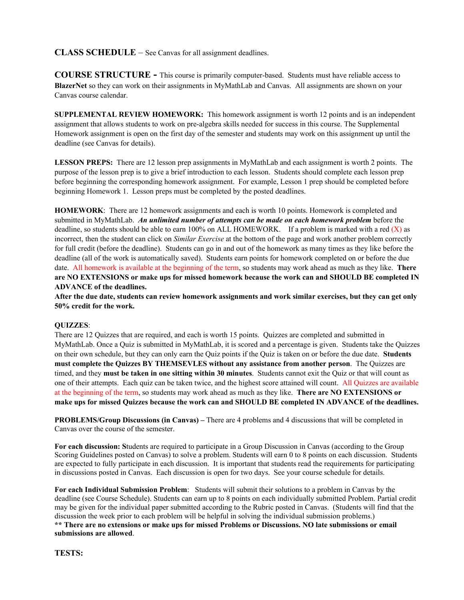## **CLASS SCHEDULE** – See Canvas for all assignment deadlines.

**COURSE STRUCTURE -** This course is primarily computer-based. Students must have reliable access to **BlazerNet** so they can work on their assignments in MyMathLab and Canvas. All assignments are shown on your Canvas course calendar.

**SUPPLEMENTAL REVIEW HOMEWORK:** This homework assignment is worth 12 points and is an independent assignment that allows students to work on pre-algebra skills needed for success in this course. The Supplemental Homework assignment is open on the first day of the semester and students may work on this assignment up until the deadline (see Canvas for details).

**LESSON PREPS:** There are 12 lesson prep assignments in MyMathLab and each assignment is worth 2 points. The purpose of the lesson prep is to give a brief introduction to each lesson. Students should complete each lesson prep before beginning the corresponding homework assignment. For example, Lesson 1 prep should be completed before beginning Homework 1. Lesson preps must be completed by the posted deadlines.

**HOMEWORK**: There are 12 homework assignments and each is worth 10 points. Homework is completed and submitted in MyMathLab. *An unlimited number of attempts can be made on each homework problem* before the deadline, so students should be able to earn 100% on ALL HOMEWORK. If a problem is marked with a red  $(X)$  as incorrect, then the student can click on *Similar Exercise* at the bottom of the page and work another problem correctly for full credit (before the deadline). Students can go in and out of the homework as many times as they like before the deadline (all of the work is automatically saved). Students earn points for homework completed on or before the due date. All homework is available at the beginning of the term, so students may work ahead as much as they like. **There are NO EXTENSIONS or make ups for missed homework because the work can and SHOULD BE completed IN ADVANCE of the deadlines.**

**After the due date, students can review homework assignments and work similar exercises, but they can get only 50% credit for the work.**

#### **QUIZZES**:

There are 12 Quizzes that are required, and each is worth 15 points. Quizzes are completed and submitted in MyMathLab. Once a Quiz is submitted in MyMathLab, it is scored and a percentage is given. Students take the Quizzes on their own schedule, but they can only earn the Quiz points if the Quiz is taken on or before the due date. **Students must complete the Quizzes BY THEMSEVLES without any assistance from another person**. The Quizzes are timed, and they **must be taken in one sitting within 30 minutes**. Students cannot exit the Quiz or that will count as one of their attempts. Each quiz can be taken twice, and the highest score attained will count. All Quizzes are available at the beginning of the term, so students may work ahead as much as they like. **There are NO EXTENSIONS or make ups for missed Quizzes because the work can and SHOULD BE completed IN ADVANCE of the deadlines.**

**PROBLEMS/Group Discussions (in Canvas) –** There are 4 problems and 4 discussions that will be completed in Canvas over the course of the semester.

**For each discussion: S**tudents are required to participate in a Group Discussion in Canvas (according to the Group Scoring Guidelines posted on Canvas) to solve a problem. Students will earn 0 to 8 points on each discussion. Students are expected to fully participate in each discussion. It is important that students read the requirements for participating in discussions posted in Canvas. Each discussion is open for two days. See your course schedule for details.

**For each Individual Submission Problem**: Students will submit their solutions to a problem in Canvas by the deadline (see Course Schedule). Students can earn up to 8 points on each individually submitted Problem. Partial credit may be given for the individual paper submitted according to the Rubric posted in Canvas. (Students will find that the discussion the week prior to each problem will be helpful in solving the individual submission problems.) **\*\* There are no extensions or make ups for missed Problems or Discussions. NO late submissions or email submissions are allowed**.

**TESTS:**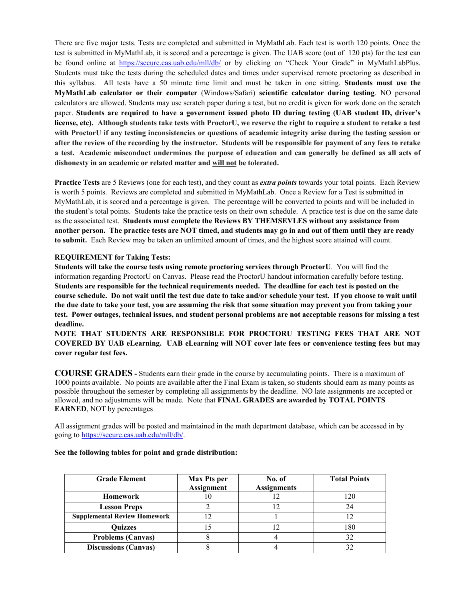There are five major tests. Tests are completed and submitted in MyMathLab. Each test is worth 120 points. Once the test is submitted in MyMathLab, it is scored and a percentage is given. The UAB score (out of 120 pts) for the test can be found online at <https://secure.cas.uab.edu/mll/db/> or by clicking on "Check Your Grade" in MyMathLabPlus. Students must take the tests during the scheduled dates and times under supervised remote proctoring as described in this syllabus. All tests have a 50 minute time limit and must be taken in one sitting. **Students must use the MyMathLab calculator or their computer** (Windows/Safari) **scientific calculator during testing**. NO personal calculators are allowed. Students may use scratch paper during a test, but no credit is given for work done on the scratch paper. **Students are required to have a government issued photo ID during testing (UAB student ID, driver's license, etc). Although students take tests with ProctorU, we reserve the right to require a student to retake a test with ProctorU if any testing inconsistencies or questions of academic integrity arise during the testing session or after the review of the recording by the instructor. Students will be responsible for payment of any fees to retake a test. Academic misconduct undermines the purpose of education and can generally be defined as all acts of dishonesty in an academic or related matter and will not be tolerated.**

**Practice Tests** are 5 Reviews (one for each test), and they count as *extra points* towards your total points. Each Review is worth 5 points. Reviews are completed and submitted in MyMathLab. Once a Review for a Test is submitted in MyMathLab, it is scored and a percentage is given. The percentage will be converted to points and will be included in the student's total points. Students take the practice tests on their own schedule. A practice test is due on the same date as the associated test. **Students must complete the Reviews BY THEMSEVLES without any assistance from another person. The practice tests are NOT timed, and students may go in and out of them until they are ready to submit.** Each Review may be taken an unlimited amount of times, and the highest score attained will count.

#### **REQUIREMENT for Taking Tests:**

**Students will take the course tests using remote proctoring services through ProctorU**. You will find the information regarding ProctorU on Canvas. Please read the ProctorU handout information carefully before testing. **Students are responsible for the technical requirements needed. The deadline for each test is posted on the course schedule. Do not wait until the test due date to take and/or schedule your test. If you choose to wait until the due date to take your test, you are assuming the risk that some situation may prevent you from taking your test. Power outages, technical issues, and student personal problems are not acceptable reasons for missing a test deadline.**

**NOTE THAT STUDENTS ARE RESPONSIBLE FOR PROCTORU TESTING FEES THAT ARE NOT COVERED BY UAB eLearning. UAB eLearning will NOT cover late fees or convenience testing fees but may cover regular test fees.** 

**COURSE GRADES -** Students earn their grade in the course by accumulating points. There is a maximum of 1000 points available. No points are available after the Final Exam is taken, so students should earn as many points as possible throughout the semester by completing all assignments by the deadline. NO late assignments are accepted or allowed, and no adjustments will be made. Note that **FINAL GRADES are awarded by TOTAL POINTS EARNED**, NOT by percentages

All assignment grades will be posted and maintained in the math department database, which can be accessed in by going t[o https://secure.cas.uab.edu/mll/db/.](https://secure.cas.uab.edu/mll/db/)

| <b>Grade Element</b>                | <b>Max Pts per</b><br><b>Assignment</b> | No. of<br><b>Assignments</b> | <b>Total Points</b> |
|-------------------------------------|-----------------------------------------|------------------------------|---------------------|
| <b>Homework</b>                     |                                         |                              | 120                 |
| <b>Lesson Preps</b>                 |                                         |                              | 24                  |
| <b>Supplemental Review Homework</b> |                                         |                              |                     |
| <b>Quizzes</b>                      |                                         |                              | 180                 |
| <b>Problems (Canvas)</b>            |                                         |                              | 32                  |
| <b>Discussions (Canvas)</b>         |                                         |                              | 32                  |

#### **See the following tables for point and grade distribution:**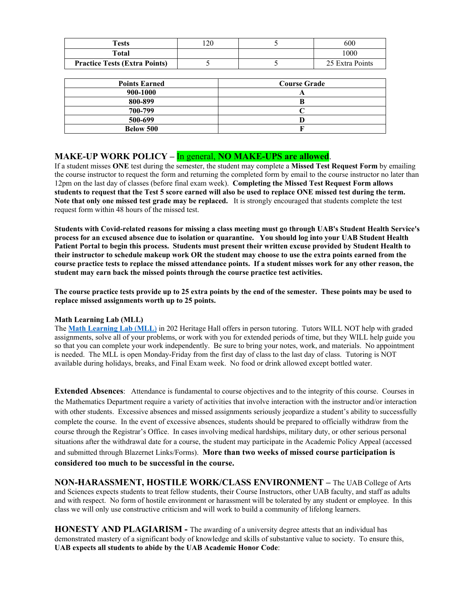| Tests                                | .20 | 600             |
|--------------------------------------|-----|-----------------|
| Total                                |     | 1000            |
| <b>Practice Tests (Extra Points)</b> |     | 25 Extra Points |

| <b>Points Earned</b> | <b>Course Grade</b> |
|----------------------|---------------------|
| 900-1000             |                     |
| 800-899              |                     |
| 700-799              |                     |
| 500-699              |                     |
| <b>Below 500</b>     |                     |

**MAKE-UP WORK POLICY – In general, <b>NO MAKE-UPS are allowed**.<br>If a student misses ONE test during the semester, the student may complete a **Missed Test Request Form** by emailing the course instructor to request the form and returning the completed form by email to the course instructor no later than 12pm on the last day of classes (before final exam week). **Completing the Missed Test Request Form allows students to request that the Test 5 score earned will also be used to replace ONE missed test during the term. Note that only one missed test grade may be replaced.** It is strongly encouraged that students complete the test request form within 48 hours of the missed test.

**Students with Covid-related reasons for missing a class meeting must go through UAB's Student Health Service's process for an excused absence due to isolation or quarantine. You should log into your UAB Student Health Patient Portal to begin this process. Students must present their written excuse provided by Student Health to their instructor to schedule makeup work OR the student may choose to use the extra points earned from the course practice tests to replace the missed attendance points. If a student misses work for any other reason, the student may earn back the missed points through the course practice test activities.**

**The course practice tests provide up to 25 extra points by the end of the semester. These points may be used to replace missed assignments worth up to 25 points.**

#### **Math Learning Lab (MLL)**

The **Math [Learning](https://www.uab.edu/cas/mathematics/student-resources/math-learning-lab) Lab** (**MLL**) in 202 Heritage Hall offers in person tutoring. Tutors WILL NOT help with graded assignments, solve all of your problems, or work with you for extended periods of time, but they WILL help guide you so that you can complete your work independently. Be sure to bring your notes, work, and materials. No appointment is needed. The MLL is open Monday-Friday from the first day of class to the last day of class. Tutoring is NOT available during holidays, breaks, and Final Exam week. No food or drink allowed except bottled water.

**Extended Absences**: Attendance is fundamental to course objectives and to the integrity of this course. Courses in the Mathematics Department require a variety of activities that involve interaction with the instructor and/or interaction with other students. Excessive absences and missed assignments seriously jeopardize a student's ability to successfully complete the course. In the event of excessive absences, students should be prepared to officially withdraw from the course through the Registrar's Office. In cases involving medical hardships, military duty, or other serious personal situations after the withdrawal date for a course, the student may participate in the Academic Policy Appeal (accessed and submitted through Blazernet Links/Forms). **More than two weeks of missed course participation is considered too much to be successful in the course.**

**NON-HARASSMENT, HOSTILE WORK/CLASS ENVIRONMENT –** The UAB College of Arts and Sciences expects students to treat fellow students, their Course Instructors, other UAB faculty, and staff as adults and with respect. No form of hostile environment or harassment will be tolerated by any student or employee. In this class we will only use constructive criticism and will work to build a community of lifelong learners.

**HONESTY AND PLAGIARISM -** The awarding of a university degree attests that an individual has demonstrated mastery of a significant body of knowledge and skills of substantive value to society. To ensure this, **UAB expects all students to abide by the UAB Academic Honor Code**: